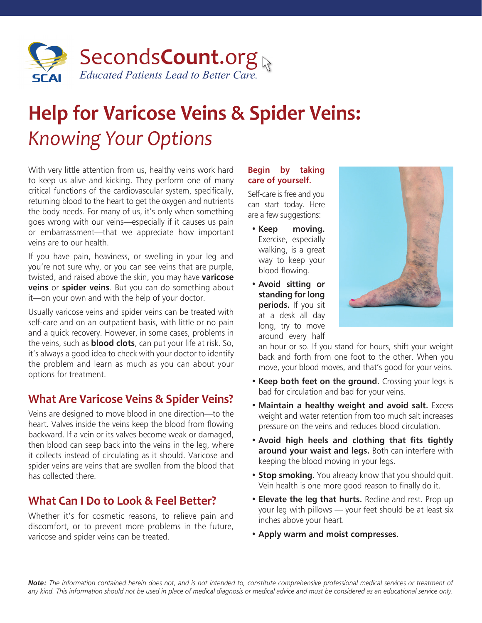

# **Help for Varicose Veins & Spider Veins:**  *Knowing Your Options*

With very little attention from us, healthy veins work hard to keep us alive and kicking. They perform one of many critical functions of the cardiovascular system, specifically, returning blood to the heart to get the oxygen and nutrients the body needs. For many of us, it's only when something goes wrong with our veins—especially if it causes us pain or embarrassment—that we appreciate how important veins are to our health.

If you have pain, heaviness, or swelling in your leg and you're not sure why, or you can see veins that are purple, twisted, and raised above the skin, you may have **varicose veins** or **spider veins**. But you can do something about it—on your own and with the help of your doctor.

Usually varicose veins and spider veins can be treated with self-care and on an outpatient basis, with little or no pain and a quick recovery. However, in some cases, problems in the veins, such as **blood clots**, can put your life at risk. So, it's always a good idea to check with your doctor to identify the problem and learn as much as you can about your options for treatment.

## **What Are Varicose Veins & Spider Veins?**

Veins are designed to move blood in one direction—to the heart. Valves inside the veins keep the blood from flowing backward. If a vein or its valves become weak or damaged, then blood can seep back into the veins in the leg, where it collects instead of circulating as it should. Varicose and spider veins are veins that are swollen from the blood that has collected there.

## **What Can I Do to Look & Feel Better?**

Whether it's for cosmetic reasons, to relieve pain and discomfort, or to prevent more problems in the future, varicose and spider veins can be treated.

### **Begin by taking care of yourself.**

Self-care is free and you can start today. Here are a few suggestions:

- **Keep moving.**  Exercise, especially walking, is a great way to keep your blood flowing.
- **Avoid sitting or standing for long periods.** If you sit at a desk all day long, try to move around every half



an hour or so. If you stand for hours, shift your weight back and forth from one foot to the other. When you move, your blood moves, and that's good for your veins.

- **Keep both feet on the ground.** Crossing your legs is bad for circulation and bad for your veins.
- **Maintain a healthy weight and avoid salt.** Excess weight and water retention from too much salt increases pressure on the veins and reduces blood circulation.
- Avoid high heels and clothing that fits tightly **around your waist and legs.** Both can interfere with keeping the blood moving in your legs.
- **Stop smoking.** You already know that you should quit. Vein health is one more good reason to finally do it.
- **Elevate the leg that hurts.** Recline and rest. Prop up your leg with pillows — your feet should be at least six inches above your heart.
- **Apply warm and moist compresses.**

*Note: The information contained herein does not, and is not intended to, constitute comprehensive professional medical services or treatment of any kind. This information should not be used in place of medical diagnosis or medical advice and must be considered as an educational service only.*